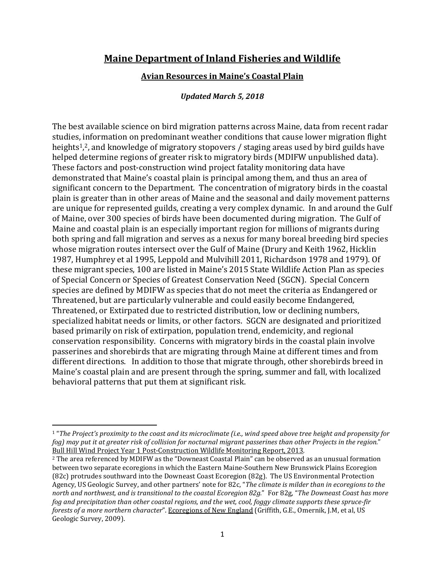## **Maine Department of Inland Fisheries and Wildlife**

## **Avian Resources in Maine's Coastal Plain**

## *Updated March 5, 2018*

The best available science on bird migration patterns across Maine, data from recent radar studies, information on predominant weather conditions that cause lower migration flight heights1, <sup>2</sup>, and knowledge of migratory stopovers / staging areas used by bird guilds have helped determine regions of greater risk to migratory birds (MDIFW unpublished data). These factors and post-construction wind project fatality monitoring data have demonstrated that Maine's coastal plain is principal among them, and thus an area of significant concern to the Department. The concentration of migratory birds in the coastal plain is greater than in other areas of Maine and the seasonal and daily movement patterns are unique for represented guilds, creating a very complex dynamic. In and around the Gulf of Maine, over 300 species of birds have been documented during migration. The Gulf of Maine and coastal plain is an especially important region for millions of migrants during both spring and fall migration and serves as a nexus for many boreal breeding bird species whose migration routes intersect over the Gulf of Maine (Drury and Keith 1962, Hicklin 1987, Humphrey et al 1995, Leppold and Mulvihill 2011, Richardson 1978 and 1979). Of these migrant species, 100 are listed in Maine's 2015 State Wildlife Action Plan as species of Special Concern or Species of Greatest Conservation Need (SGCN). Special Concern species are defined by MDIFW as species that do not meet the criteria as Endangered or Threatened, but are particularly vulnerable and could easily become Endangered, Threatened, or Extirpated due to restricted distribution, low or declining numbers, specialized habitat needs or limits, or other factors. SGCN are designated and prioritized based primarily on risk of extirpation, population trend, endemicity, and regional conservation responsibility. Concerns with migratory birds in the coastal plain involve passerines and shorebirds that are migrating through Maine at different times and from different directions. In addition to those that migrate through, other shorebirds breed in Maine's coastal plain and are present through the spring, summer and fall, with localized behavioral patterns that put them at significant risk.

<u>.</u>

<sup>1</sup> "*The Project's proximity to the coast and its microclimate (i.e., wind speed above tree height and propensity for fog) may put it at greater risk of collision for nocturnal migrant passerines than other Projects in the region.*" Bull Hill Wind Project Year 1 Post-Construction Wildlife Monitoring Report, 2013.

<sup>2</sup> The area referenced by MDIFW as the "Downeast Coastal Plain" can be observed as an unusual formation between two separate ecoregions in which the Eastern Maine-Southern New Brunswick Plains Ecoregion (82c) protrudes southward into the Downeast Coast Ecoregion (82g). The US Environmental Protection Agency, US Geologic Survey, and other partners' note for 82c, "*The climate is milder than in ecoregions to the north and northwest, and is transitional to the coastal Ecoregion 82g.*" For 82g, "*The Downeast Coast has more fog and precipitation than other coastal regions, and the wet, cool, foggy climate supports these spruce-fir forests of a more northern character*". Ecoregions of New England (Griffith, G.E., Omernik, J.M, et al, US Geologic Survey, 2009).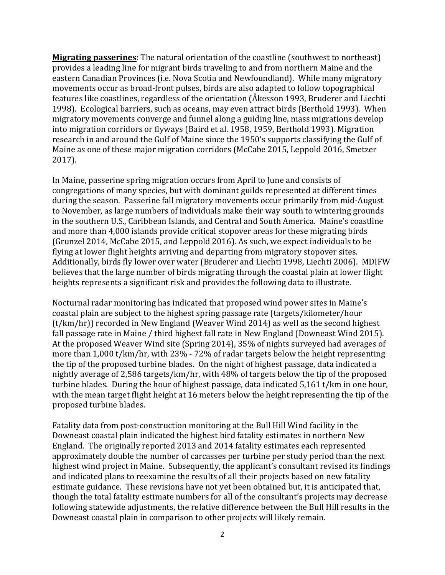**Migrating passerines**: The natural orientation of the coastline (southwest to northeast) provides a leading line for migrant birds traveling to and from northern Maine and the eastern Canadian Provinces (i.e. Nova Scotia and Newfoundland). While many migratory movements occur as broad-front pulses, birds are also adapted to follow topographical features like coastlines, regardless of the orientation (Åkesson 1993, Bruderer and Liechti 1998). Ecological barriers, such as oceans, may even attract birds (Berthold 1993). When migratory movements converge and funnel along a guiding line, mass migrations develop into migration corridors or flyways (Baird et al. 1958, 1959, Berthold 1993). Migration research in and around the Gulf of Maine since the 1950's supports classifying the Gulf of Maine as one of these major migration corridors (McCabe 2015, Leppold 2016, Smetzer 2017).

In Maine, passerine spring migration occurs from April to June and consists of congregations of many species, but with dominant guilds represented at different times during the season. Passerine fall migratory movements occur primarily from mid-August to November, as large numbers of individuals make their way south to wintering grounds in the southern U.S., Caribbean Islands, and Central and South America. Maine's coastline and more than 4,000 islands provide critical stopover areas for these migrating birds (Grunzel 2014, McCabe 2015, and Leppold 2016). As such, we expect individuals to be flying at lower flight heights arriving and departing from migratory stopover sites. Additionally, birds fly lower over water (Bruderer and Liechti 1998, Liechti 2006). MDIFW believes that the large number of birds migrating through the coastal plain at lower flight heights represents a significant risk and provides the following data to illustrate.

Nocturnal radar monitoring has indicated that proposed wind power sites in Maine's coastal plain are subject to the highest spring passage rate (targets/kilometer/hour (t/km/hr)) recorded in New England (Weaver Wind 2014) as well as the second highest fall passage rate in Maine / third highest fall rate in New England (Downeast Wind 2015). At the proposed Weaver Wind site (Spring 2014), 35% of nights surveyed had averages of more than 1,000 t/km/hr, with 23% - 72% of radar targets below the height representing the tip of the proposed turbine blades. On the night of highest passage, data indicated a nightly average of 2,586 targets/km/hr, with 48% of targets below the tip of the proposed turbine blades. During the hour of highest passage, data indicated 5,161 t/km in one hour, with the mean target flight height at 16 meters below the height representing the tip of the proposed turbine blades.

Fatality data from post-construction monitoring at the Bull Hill Wind facility in the Downeast coastal plain indicated the highest bird fatality estimates in northern New England. The originally reported 2013 and 2014 fatality estimates each represented approximately double the number of carcasses per turbine per study period than the next highest wind project in Maine. Subsequently, the applicant's consultant revised its findings and indicated plans to reexamine the results of all their projects based on new fatality estimate guidance. These revisions have not yet been obtained but, it is anticipated that, though the total fatality estimate numbers for all of the consultant's projects may decrease following statewide adjustments, the relative difference between the Bull Hill results in the Downeast coastal plain in comparison to other projects will likely remain.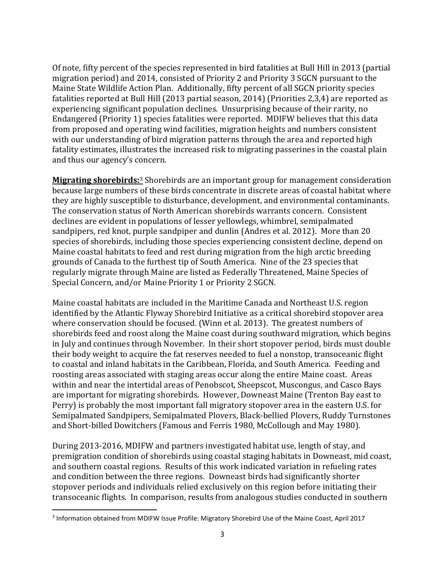Of note, fifty percent of the species represented in bird fatalities at Bull Hill in 2013 (partial migration period) and 2014, consisted of Priority 2 and Priority 3 SGCN pursuant to the Maine State Wildlife Action Plan. Additionally, fifty percent of all SGCN priority species fatalities reported at Bull Hill (2013 partial season, 2014) (Priorities 2,3,4) are reported as experiencing significant population declines. Unsurprising because of their rarity, no Endangered (Priority 1) species fatalities were reported. MDIFW believes that this data from proposed and operating wind facilities, migration heights and numbers consistent with our understanding of bird migration patterns through the area and reported high fatality estimates, illustrates the increased risk to migrating passerines in the coastal plain and thus our agency's concern.

**Migrating shorebirds:**<sup>3</sup> Shorebirds are an important group for management consideration because large numbers of these birds concentrate in discrete areas of coastal habitat where they are highly susceptible to disturbance, development, and environmental contaminants. The conservation status of North American shorebirds warrants concern. Consistent declines are evident in populations of lesser yellowlegs, whimbrel, semipalmated sandpipers, red knot, purple sandpiper and dunlin (Andres et al. 2012). More than 20 species of shorebirds, including those species experiencing consistent decline, depend on Maine coastal habitats to feed and rest during migration from the high arctic breeding grounds of Canada to the furthest tip of South America. Nine of the 23 species that regularly migrate through Maine are listed as Federally Threatened, Maine Species of Special Concern, and/or Maine Priority 1 or Priority 2 SGCN.

Maine coastal habitats are included in the Maritime Canada and Northeast U.S. region identified by the Atlantic Flyway Shorebird Initiative as a critical shorebird stopover area where conservation should be focused. (Winn et al. 2013). The greatest numbers of shorebirds feed and roost along the Maine coast during southward migration, which begins in July and continues through November. In their short stopover period, birds must double their body weight to acquire the fat reserves needed to fuel a nonstop, transoceanic flight to coastal and inland habitats in the Caribbean, Florida, and South America. Feeding and roosting areas associated with staging areas occur along the entire Maine coast. Areas within and near the intertidal areas of Penobscot, Sheepscot, Muscongus, and Casco Bays are important for migrating shorebirds. However, Downeast Maine (Trenton Bay east to Perry) is probably the most important fall migratory stopover area in the eastern U.S. for Semipalmated Sandpipers, Semipalmated Plovers, Black-bellied Plovers, Ruddy Turnstones and Short-billed Dowitchers (Famous and Ferris 1980, McCollough and May 1980).

During 2013-2016, MDIFW and partners investigated habitat use, length of stay, and premigration condition of shorebirds using coastal staging habitats in Downeast, mid coast, and southern coastal regions. Results of this work indicated variation in refueling rates and condition between the three regions. Downeast birds had significantly shorter stopover periods and individuals relied exclusively on this region before initiating their transoceanic flights. In comparison, results from analogous studies conducted in southern

-

<sup>&</sup>lt;sup>3</sup> Information obtained from MDIFW Issue Profile: Migratory Shorebird Use of the Maine Coast, April 2017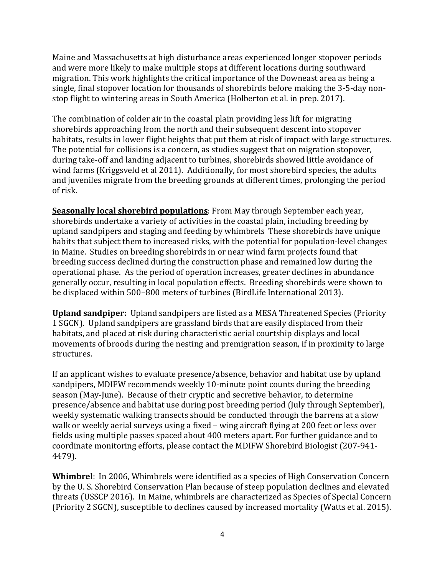Maine and Massachusetts at high disturbance areas experienced longer stopover periods and were more likely to make multiple stops at different locations during southward migration. This work highlights the critical importance of the Downeast area as being a single, final stopover location for thousands of shorebirds before making the 3-5-day nonstop flight to wintering areas in South America (Holberton et al. in prep. 2017).

The combination of colder air in the coastal plain providing less lift for migrating shorebirds approaching from the north and their subsequent descent into stopover habitats, results in lower flight heights that put them at risk of impact with large structures. The potential for collisions is a concern, as studies suggest that on migration stopover, during take-off and landing adjacent to turbines, shorebirds showed little avoidance of wind farms (Kriggsveld et al 2011). Additionally, for most shorebird species, the adults and juveniles migrate from the breeding grounds at different times, prolonging the period of risk.

**Seasonally local shorebird populations**: From May through September each year, shorebirds undertake a variety of activities in the coastal plain, including breeding by upland sandpipers and staging and feeding by whimbrels These shorebirds have unique habits that subject them to increased risks, with the potential for population-level changes in Maine. Studies on breeding shorebirds in or near wind farm projects found that breeding success declined during the construction phase and remained low during the operational phase. As the period of operation increases, greater declines in abundance generally occur, resulting in local population effects. Breeding shorebirds were shown to be displaced within 500–800 meters of turbines (BirdLife International 2013).

**Upland sandpiper:** Upland sandpipers are listed as a MESA Threatened Species (Priority 1 SGCN). Upland sandpipers are grassland birds that are easily displaced from their habitats, and placed at risk during characteristic aerial courtship displays and local movements of broods during the nesting and premigration season, if in proximity to large structures.

If an applicant wishes to evaluate presence/absence, behavior and habitat use by upland sandpipers, MDIFW recommends weekly 10-minute point counts during the breeding season (May-June). Because of their cryptic and secretive behavior, to determine presence/absence and habitat use during post breeding period (July through September), weekly systematic walking transects should be conducted through the barrens at a slow walk or weekly aerial surveys using a fixed – wing aircraft flying at 200 feet or less over fields using multiple passes spaced about 400 meters apart. For further guidance and to coordinate monitoring efforts, please contact the MDIFW Shorebird Biologist (207-941- 4479).

**Whimbrel**: In 2006, Whimbrels were identified as a species of High Conservation Concern by the U. S. Shorebird Conservation Plan because of steep population declines and elevated threats (USSCP 2016). In Maine, whimbrels are characterized as Species of Special Concern (Priority 2 SGCN), susceptible to declines caused by increased mortality (Watts et al. 2015).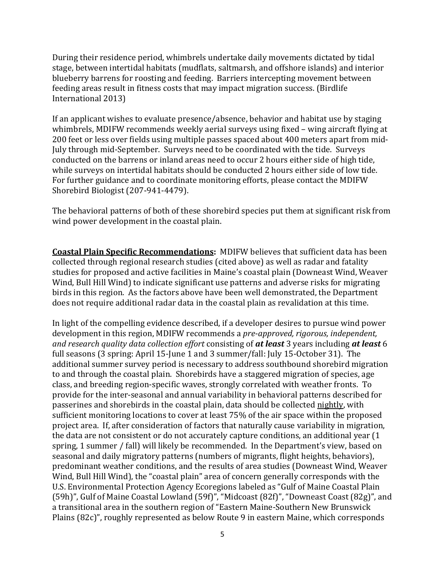During their residence period, whimbrels undertake daily movements dictated by tidal stage, between intertidal habitats (mudflats, saltmarsh, and offshore islands) and interior blueberry barrens for roosting and feeding. Barriers intercepting movement between feeding areas result in fitness costs that may impact migration success. (Birdlife International 2013)

If an applicant wishes to evaluate presence/absence, behavior and habitat use by staging whimbrels, MDIFW recommends weekly aerial surveys using fixed – wing aircraft flying at 200 feet or less over fields using multiple passes spaced about 400 meters apart from mid-July through mid-September. Surveys need to be coordinated with the tide. Surveys conducted on the barrens or inland areas need to occur 2 hours either side of high tide, while surveys on intertidal habitats should be conducted 2 hours either side of low tide. For further guidance and to coordinate monitoring efforts, please contact the MDIFW Shorebird Biologist (207-941-4479).

The behavioral patterns of both of these shorebird species put them at significant risk from wind power development in the coastal plain.

**Coastal Plain Specific Recommendations:** MDIFW believes that sufficient data has been collected through regional research studies (cited above) as well as radar and fatality studies for proposed and active facilities in Maine's coastal plain (Downeast Wind, Weaver Wind, Bull Hill Wind) to indicate significant use patterns and adverse risks for migrating birds in this region. As the factors above have been well demonstrated, the Department does not require additional radar data in the coastal plain as revalidation at this time.

In light of the compelling evidence described, if a developer desires to pursue wind power development in this region, MDIFW recommends a *pre-approved, rigorous, independent, and research quality data collection effort* consisting of *at least* 3 years including *at least* 6 full seasons (3 spring: April 15-June 1 and 3 summer/fall: July 15-October 31). The additional summer survey period is necessary to address southbound shorebird migration to and through the coastal plain. Shorebirds have a staggered migration of species, age class, and breeding region-specific waves, strongly correlated with weather fronts. To provide for the inter-seasonal and annual variability in behavioral patterns described for passerines and shorebirds in the coastal plain, data should be collected nightly, with sufficient monitoring locations to cover at least 75% of the air space within the proposed project area. If, after consideration of factors that naturally cause variability in migration, the data are not consistent or do not accurately capture conditions, an additional year (1 spring, 1 summer / fall) will likely be recommended. In the Department's view, based on seasonal and daily migratory patterns (numbers of migrants, flight heights, behaviors), predominant weather conditions, and the results of area studies (Downeast Wind, Weaver Wind, Bull Hill Wind), the "coastal plain" area of concern generally corresponds with the U.S. Environmental Protection Agency Ecoregions labeled as "Gulf of Maine Coastal Plain (59h)", Gulf of Maine Coastal Lowland (59f)", "Midcoast (82f)", "Downeast Coast (82g)", and a transitional area in the southern region of "Eastern Maine-Southern New Brunswick Plains (82c)", roughly represented as below Route 9 in eastern Maine, which corresponds